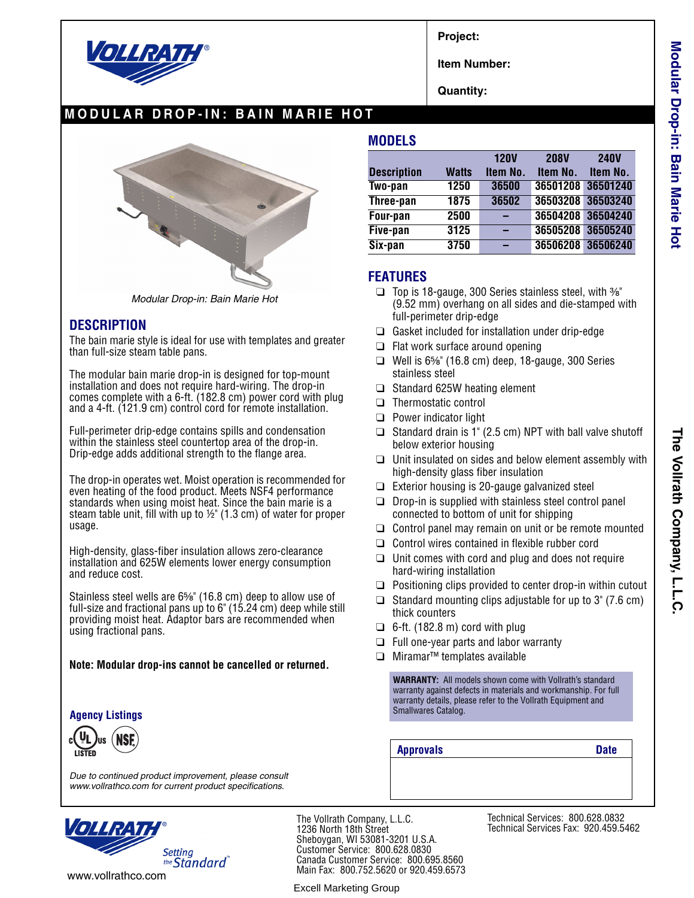

**Project:**

**Item Number:**

**Quantity:**

## **MODULAR DROP-IN: BAIN MARIE HOT**



*Modular Drop-in: Bain Marie Hot*

### **DESCRIPTION**

The bain marie style is ideal for use with templates and greater than full-size steam table pans.

The modular bain marie drop-in is designed for top-mount installation and does not require hard-wiring. The drop-in comes complete with a 6-ft. (182.8 cm) power cord with plug and a 4-ft. (121.9 cm) control cord for remote installation.

Full-perimeter drip-edge contains spills and condensation within the stainless steel countertop area of the drop-in. Drip-edge adds additional strength to the flange area.

The drop-in operates wet. Moist operation is recommended for even heating of the food product. Meets NSF4 performance standards when using moist heat. Since the bain marie is a steam table unit, fill with up to ½" (1.3 cm) of water for proper usage.

High-density, glass-fiber insulation allows zero-clearance installation and 625W elements lower energy consumption and reduce cost.

Stainless steel wells are 6<sup>5</sup>%" (16.8 cm) deep to allow use of full-size and fractional pans up to 6" (15.24 cm) deep while still providing moist heat. Adaptor bars are recommended when using fractional pans.

#### **Note: Modular drop-ins cannot be cancelled or returned.**

#### **Agency Listings**

*Due to continued product improvement, please consult www.vollrathco.com for current product specifications.*



www.vollrathco.com

The Vollrath Company, L.L.C. 1236 North 18th Street Sheboygan, WI 53081-3201 U.S.A. Customer Service: 800.628.0830 Canada Customer Service: 800.695.8560 Main Fax: 800.752.5620 or 920.459.6573

Excell Marketing Group

**MODELS**

|                    |              | <b>120V</b> | <b>208V</b> | <b>240V</b>       |
|--------------------|--------------|-------------|-------------|-------------------|
| <b>Description</b> | <b>Watts</b> | Item No.    | Item No.    | Item No.          |
| Two-pan            | 1250         | 36500       | 36501208    | 36501240          |
| Three-pan          | 1875         | 36502       |             | 36503208 36503240 |
| Four-pan           | 2500         |             |             | 36504208 36504240 |
| Five-pan           | 3125         |             | 36505208    | 36505240          |
| Six-pan            | 3750         |             |             | 36506208 36506240 |

### **FEATURES**

- ❑ Top is 18-gauge, 300 Series stainless steel, with ³⁄₈" (9.52 mm) overhang on all sides and die-stamped with full-perimeter drip-edge
- ❑ Gasket included for installation under drip-edge
- ❑ Flat work surface around opening
- $\Box$  Well is 6\%" (16.8 cm) deep, 18-gauge, 300 Series stainless steel
- ❑ Standard 625W heating element
- ❑ Thermostatic control
- ❑ Power indicator light
- ❑ Standard drain is 1" (2.5 cm) NPT with ball valve shutoff below exterior housing
- ❑ Unit insulated on sides and below element assembly with high-density glass fiber insulation
- ❑ Exterior housing is 20-gauge galvanized steel
- ❑ Drop-in is supplied with stainless steel control panel connected to bottom of unit for shipping
- ❑ Control panel may remain on unit or be remote mounted
- ❑ Control wires contained in flexible rubber cord
- $\Box$  Unit comes with cord and plug and does not require hard-wiring installation
- ❑ Positioning clips provided to center drop-in within cutout
- ❑ Standard mounting clips adjustable for up to 3" (7.6 cm) thick counters
- $\Box$  6-ft. (182.8 m) cord with plug
- ❑ Full one-year parts and labor warranty
- ❑ Miramar™ templates available

**WARRANTY:** All models shown come with Vollrath's standard warranty against defects in materials and workmanship. For full warranty details, please refer to the Vollrath Equipment and Smallwares Catalog.

**Approvals Date**

Technical Services: 800.628.0832 Technical Services Fax: 920.459.5462